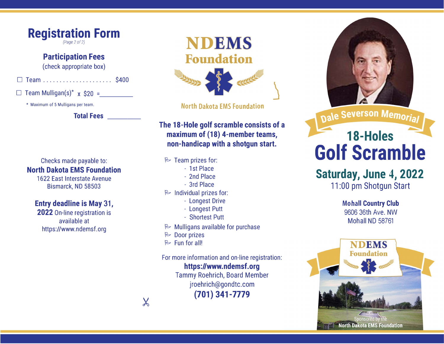

### **Participation Fees**

(check appropriate box)

□ Team ..................... \$400

 $\Box$  Team Mulligan(s)<sup>\*</sup> x \$20 =

\* Maximum of 5 Mulligans per team.

**Total Fees\_\_\_** \_\_\_\_\_\_\_\_\_\_

Checks made payable to: **North Dakota EMS Foundation** 

> 1622 East Interstate Avenue Bismarck, ND 58503

## **Entry deadline is May 31,**

**2022** On-line registration is available at https://www.ndemsf.org



**North Dakota EMS Foundation** 

## **The 18-Hole golf scramble consists of a maximum of (18) 4-member teams, non-handicap with a shotgun start.**

#### � Team prizes for:

- 1st Place
	- 2nd Place
	- 3rd Place
- � Individual prizes for:
	- Longest Drive
	- Longest Putt
	- Shortest Putt
- $\approx$  Mulligans available for purchase
- � Door prizes
- $\triangleright$  Fun for all!

 $\chi$ 

For more information and on-line registration:

**https://www.ndemsf.org**  Tammy Roehrich, Board Member jroehrich@gondtc.com **(701) 341-7779**



Dale Severson Memorial

# 18-Holes **Golf Scramble**

# **Saturday, June 4, 2022**

11:00 pm Shotgun Start

**Mohall Country Club**  9606 36th Ave. NW Mohall ND 58761